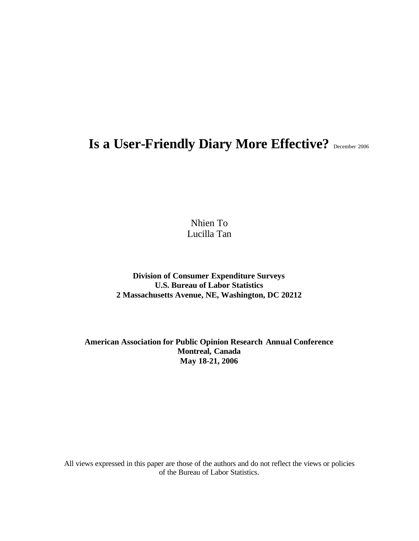# **Is a User-Friendly Diary More Effective?** December 2006

Nhien To Lucilla Tan

**Division of Consumer Expenditure Surveys U.S. Bureau of Labor Statistics 2 Massachusetts Avenue, NE, Washington, DC 20212**

**American Association for Public Opinion Research Annual Conference Montreal, Canada May 18-21, 2006**

All views expressed in this paper are those of the authors and do not reflect the views or policies of the Bureau of Labor Statistics.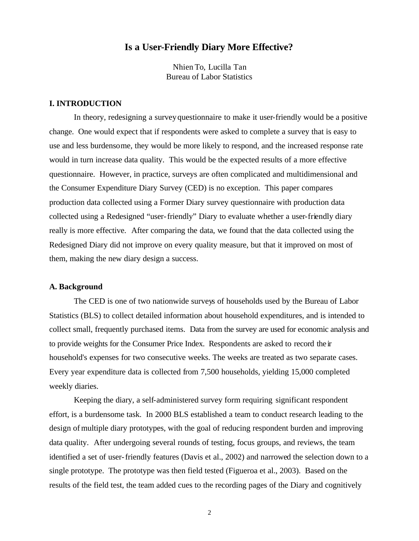## **Is a User-Friendly Diary More Effective?**

Nhien To, Lucilla Tan Bureau of Labor Statistics

## **I. INTRODUCTION**

In theory, redesigning a survey questionnaire to make it user-friendly would be a positive change. One would expect that if respondents were asked to complete a survey that is easy to use and less burdensome, they would be more likely to respond, and the increased response rate would in turn increase data quality. This would be the expected results of a more effective questionnaire. However, in practice, surveys are often complicated and multidimensional and the Consumer Expenditure Diary Survey (CED) is no exception. This paper compares production data collected using a Former Diary survey questionnaire with production data collected using a Redesigned "user-friendly" Diary to evaluate whether a user-friendly diary really is more effective. After comparing the data, we found that the data collected using the Redesigned Diary did not improve on every quality measure, but that it improved on most of them, making the new diary design a success.

#### **A. Background**

The CED is one of two nationwide surveys of households used by the Bureau of Labor Statistics (BLS) to collect detailed information about household expenditures, and is intended to collect small, frequently purchased items. Data from the survey are used for economic analysis and to provide weights for the Consumer Price Index. Respondents are asked to record their household's expenses for two consecutive weeks. The weeks are treated as two separate cases. Every year expenditure data is collected from 7,500 households, yielding 15,000 completed weekly diaries.

Keeping the diary, a self-administered survey form requiring significant respondent effort, is a burdensome task. In 2000 BLS established a team to conduct research leading to the design of multiple diary prototypes, with the goal of reducing respondent burden and improving data quality. After undergoing several rounds of testing, focus groups, and reviews, the team identified a set of user-friendly features (Davis et al., 2002) and narrowed the selection down to a single prototype. The prototype was then field tested (Figueroa et al., 2003). Based on the results of the field test, the team added cues to the recording pages of the Diary and cognitively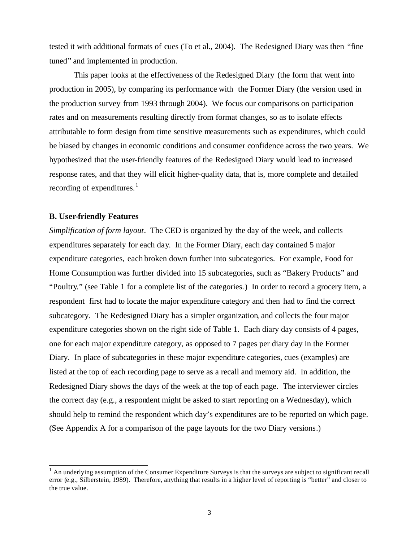tested it with additional formats of cues (To et al., 2004). The Redesigned Diary was then "fine tuned" and implemented in production.

This paper looks at the effectiveness of the Redesigned Diary (the form that went into production in 2005), by comparing its performance with the Former Diary (the version used in the production survey from 1993 through 2004). We focus our comparisons on participation rates and on measurements resulting directly from format changes, so as to isolate effects attributable to form design from time sensitive measurements such as expenditures, which could be biased by changes in economic conditions and consumer confidence across the two years. We hypothesized that the user-friendly features of the Redesigned Diary would lead to increased response rates, and that they will elicit higher-quality data, that is, more complete and detailed recording of expenditures.<sup>1</sup>

#### **B. User-friendly Features**

l

*Simplification of form layout.* The CED is organized by the day of the week, and collects expenditures separately for each day. In the Former Diary, each day contained 5 major expenditure categories, each broken down further into subcategories. For example, Food for Home Consumption was further divided into 15 subcategories, such as "Bakery Products" and "Poultry." (see Table 1 for a complete list of the categories.) In order to record a grocery item, a respondent first had to locate the major expenditure category and then had to find the correct subcategory. The Redesigned Diary has a simpler organization, and collects the four major expenditure categories shown on the right side of Table 1. Each diary day consists of 4 pages, one for each major expenditure category, as opposed to 7 pages per diary day in the Former Diary. In place of subcategories in these major expenditure categories, cues (examples) are listed at the top of each recording page to serve as a recall and memory aid. In addition, the Redesigned Diary shows the days of the week at the top of each page. The interviewer circles the correct day (e.g., a respondent might be asked to start reporting on a Wednesday), which should help to remind the respondent which day's expenditures are to be reported on which page. (See Appendix A for a comparison of the page layouts for the two Diary versions.)

 $<sup>1</sup>$  An underlying assumption of the Consumer Expenditure Surveys is that the surveys are subject to significant recall</sup> error (e.g., Silberstein, 1989). Therefore, anything that results in a higher level of reporting is "better" and closer to the true value.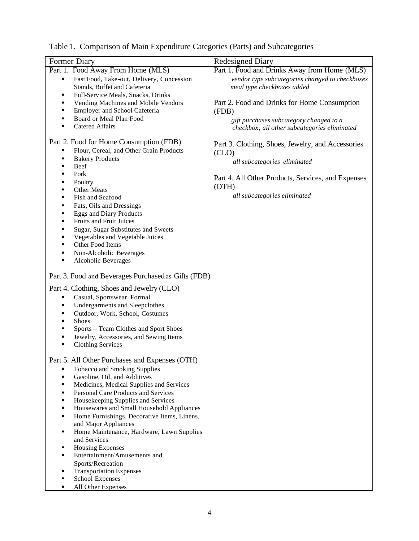| Table 1. Comparison of Main Expenditure Categories (Parts) and Subcategories |  |  |  |  |  |  |  |
|------------------------------------------------------------------------------|--|--|--|--|--|--|--|
|------------------------------------------------------------------------------|--|--|--|--|--|--|--|

| Former Diary                                                         | <b>Redesigned Diary</b>                            |
|----------------------------------------------------------------------|----------------------------------------------------|
| Part 1. Food Away From Home (MLS)                                    | Part 1. Food and Drinks Away from Home (MLS)       |
| Fast Food, Take-out, Delivery, Concession<br>٠                       | vendor type subcategories changed to checkboxes    |
| Stands, Buffet and Cafeteria                                         | meal type checkboxes added                         |
| Full-Service Meals, Snacks, Drinks<br>٠                              |                                                    |
| Vending Machines and Mobile Vendors<br>٠                             | Part 2. Food and Drinks for Home Consumption       |
| Employer and School Cafeteria<br>٠                                   | (FDB)                                              |
| Board or Meal Plan Food<br>٠                                         | gift purchases subcategory changed to a            |
| <b>Catered Affairs</b><br>٠                                          | checkbox; all other subcategories eliminated       |
|                                                                      |                                                    |
| Part 2. Food for Home Consumption (FDB)                              | Part 3. Clothing, Shoes, Jewelry, and Accessories  |
| Flour, Cereal, and Other Grain Products<br>٠                         | (CLO)                                              |
| <b>Bakery Products</b><br>٠                                          | all subcategories eliminated                       |
| Beef<br>٠                                                            |                                                    |
| Pork                                                                 | Part 4. All Other Products, Services, and Expenses |
| Poultry                                                              | (OTH)                                              |
| Other Meats<br>٠                                                     | all subcategories eliminated                       |
| Fish and Seafood<br>٠                                                |                                                    |
| Fats, Oils and Dressings<br>٠<br><b>Eggs and Diary Products</b><br>٠ |                                                    |
| Fruits and Fruit Juices<br>٠                                         |                                                    |
| Sugar, Sugar Substitutes and Sweets<br>٠                             |                                                    |
| Vegetables and Vegetable Juices<br>٠                                 |                                                    |
| Other Food Items<br>٠                                                |                                                    |
| Non-Alcoholic Beverages<br>٠                                         |                                                    |
| Alcoholic Beverages<br>٠                                             |                                                    |
|                                                                      |                                                    |
| Part 3. Food and Beverages Purchased as Gifts (FDB)                  |                                                    |
| Part 4. Clothing, Shoes and Jewelry (CLO)                            |                                                    |
| Casual, Sportswear, Formal<br>٠                                      |                                                    |
| <b>Undergarments and Sleepclothes</b>                                |                                                    |
| Outdoor, Work, School, Costumes                                      |                                                    |
| <b>Shoes</b>                                                         |                                                    |
| Sports - Team Clothes and Sport Shoes                                |                                                    |
| Jewelry, Accessories, and Sewing Items                               |                                                    |
| <b>Clothing Services</b><br>٠                                        |                                                    |
|                                                                      |                                                    |
| Part 5. All Other Purchases and Expenses (OTH)                       |                                                    |
| <b>Tobacco and Smoking Supplies</b><br>٠                             |                                                    |
| Gasoline, Oil, and Additives<br>٠                                    |                                                    |
| Medicines, Medical Supplies and Services                             |                                                    |
| Personal Care Products and Services                                  |                                                    |
| Housekeeping Supplies and Services                                   |                                                    |
| Housewares and Small Household Appliances                            |                                                    |
| Home Furnishings, Decorative Items, Linens,<br>٠                     |                                                    |
| and Major Appliances                                                 |                                                    |
| Home Maintenance, Hardware, Lawn Supplies<br>٠                       |                                                    |
| and Services                                                         |                                                    |
| <b>Housing Expenses</b><br>٠                                         |                                                    |
| Entertainment/Amusements and<br>٠                                    |                                                    |
| Sports/Recreation                                                    |                                                    |
| <b>Transportation Expenses</b>                                       |                                                    |
| School Expenses<br>All Other Expenses                                |                                                    |
|                                                                      |                                                    |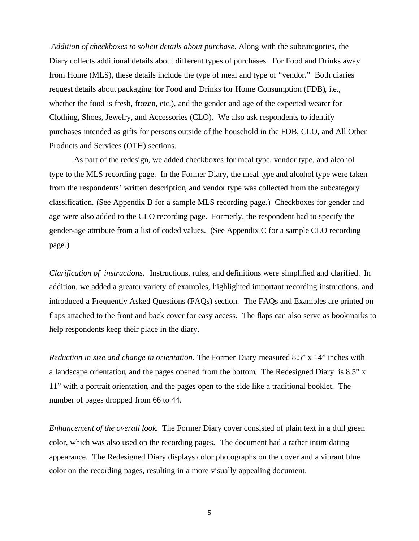*Addition of checkboxes to solicit details about purchase.* Along with the subcategories, the Diary collects additional details about different types of purchases. For Food and Drinks away from Home (MLS), these details include the type of meal and type of "vendor." Both diaries request details about packaging for Food and Drinks for Home Consumption (FDB), i.e., whether the food is fresh, frozen, etc.), and the gender and age of the expected wearer for Clothing, Shoes, Jewelry, and Accessories (CLO). We also ask respondents to identify purchases intended as gifts for persons outside of the household in the FDB, CLO, and All Other Products and Services (OTH) sections.

As part of the redesign, we added checkboxes for meal type, vendor type, and alcohol type to the MLS recording page. In the Former Diary, the meal type and alcohol type were taken from the respondents' written description, and vendor type was collected from the subcategory classification. (See Appendix B for a sample MLS recording page.) Checkboxes for gender and age were also added to the CLO recording page. Formerly, the respondent had to specify the gender-age attribute from a list of coded values. (See Appendix C for a sample CLO recording page.)

*Clarification of instructions.* Instructions, rules, and definitions were simplified and clarified. In addition, we added a greater variety of examples, highlighted important recording instructions, and introduced a Frequently Asked Questions (FAQs) section. The FAQs and Examples are printed on flaps attached to the front and back cover for easy access. The flaps can also serve as bookmarks to help respondents keep their place in the diary.

*Reduction in size and change in orientation.* The Former Diary measured 8.5" x 14" inches with a landscape orientation, and the pages opened from the bottom. The Redesigned Diary is 8.5" x 11" with a portrait orientation, and the pages open to the side like a traditional booklet. The number of pages dropped from 66 to 44.

*Enhancement of the overall look.* The Former Diary cover consisted of plain text in a dull green color, which was also used on the recording pages. The document had a rather intimidating appearance. The Redesigned Diary displays color photographs on the cover and a vibrant blue color on the recording pages, resulting in a more visually appealing document.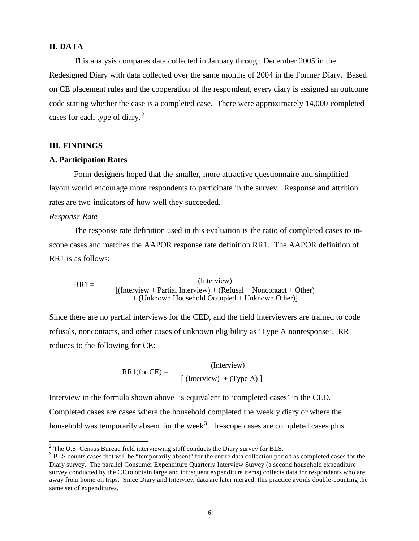## **II. DATA**

This analysis compares data collected in January through December 2005 in the Redesigned Diary with data collected over the same months of 2004 in the Former Diary. Based on CE placement rules and the cooperation of the respondent, every diary is assigned an outcome code stating whether the case is a completed case. There were approximately 14,000 completed cases for each type of diary. $2$ 

#### **III. FINDINGS**

#### **A. Participation Rates**

Form designers hoped that the smaller, more attractive questionnaire and simplified layout would encourage more respondents to participate in the survey. Response and attrition rates are two indicators of how well they succeeded.

#### *Response Rate*

The response rate definition used in this evaluation is the ratio of completed cases to inscope cases and matches the AAPOR response rate definition RR1. The AAPOR definition of RR1 is as follows:

 $RR1 =$  [(Interview + Partial Interview) + (Refusal + Noncontact + Other) + (Unknown Household Occupied + Unknown Other)]

Since there are no partial interviews for the CED, and the field interviewers are trained to code refusals, noncontacts, and other cases of unknown eligibility as 'Type A nonresponse', RR1 reduces to the following for CE:

> (Interview)  $RR1$ (for CE) =  $[$  (Interview) + (Type A) ]

Interview in the formula shown above is equivalent to 'completed cases' in the CED. Completed cases are cases where the household completed the weekly diary or where the household was temporarily absent for the week<sup>3</sup>. In-scope cases are completed cases plus

<sup>&</sup>lt;sup>2</sup> The U.S. Census Bureau field interviewing staff conducts the Diary survey for BLS.

<sup>&</sup>lt;sup>3</sup> BLS counts cases that will be "temporarily absent" for the entire data collection period as completed cases for the Diary survey. The parallel Consumer Expenditure Quarterly Interview Survey (a second household expenditure survey conducted by the CE to obtain large and infrequent expenditure items) collects data for respondents who are away from home on trips. Since Diary and Interview data are later merged, this practice avoids double-counting the same set of expenditures.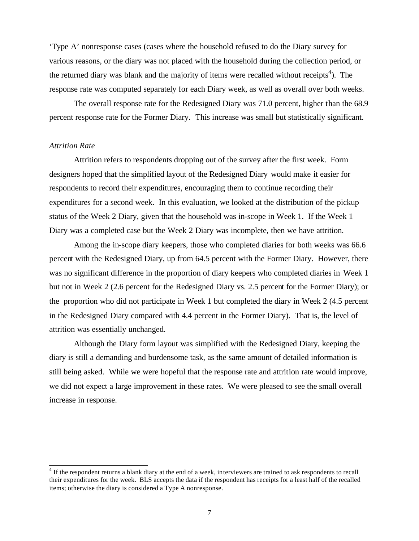'Type A' nonresponse cases (cases where the household refused to do the Diary survey for various reasons, or the diary was not placed with the household during the collection period, or the returned diary was blank and the majority of items were recalled without receipts<sup>4</sup>). The response rate was computed separately for each Diary week, as well as overall over both weeks.

The overall response rate for the Redesigned Diary was 71.0 percent, higher than the 68.9 percent response rate for the Former Diary. This increase was small but statistically significant.

### *Attrition Rate*

l

Attrition refers to respondents dropping out of the survey after the first week. Form designers hoped that the simplified layout of the Redesigned Diary would make it easier for respondents to record their expenditures, encouraging them to continue recording their expenditures for a second week. In this evaluation, we looked at the distribution of the pickup status of the Week 2 Diary, given that the household was in-scope in Week 1. If the Week 1 Diary was a completed case but the Week 2 Diary was incomplete, then we have attrition.

Among the in-scope diary keepers, those who completed diaries for both weeks was 66.6 percent with the Redesigned Diary, up from 64.5 percent with the Former Diary. However, there was no significant difference in the proportion of diary keepers who completed diaries in Week 1 but not in Week 2 (2.6 percent for the Redesigned Diary vs. 2.5 percent for the Former Diary); or the proportion who did not participate in Week 1 but completed the diary in Week 2 (4.5 percent in the Redesigned Diary compared with 4.4 percent in the Former Diary). That is, the level of attrition was essentially unchanged.

Although the Diary form layout was simplified with the Redesigned Diary, keeping the diary is still a demanding and burdensome task, as the same amount of detailed information is still being asked. While we were hopeful that the response rate and attrition rate would improve, we did not expect a large improvement in these rates. We were pleased to see the small overall increase in response.

<sup>&</sup>lt;sup>4</sup> If the respondent returns a blank diary at the end of a week, interviewers are trained to ask respondents to recall their expenditures for the week. BLS accepts the data if the respondent has receipts for a least half of the recalled items; otherwise the diary is considered a Type A nonresponse.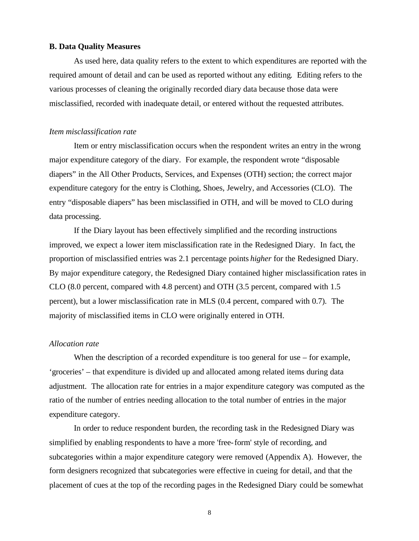## **B. Data Quality Measures**

As used here, data quality refers to the extent to which expenditures are reported with the required amount of detail and can be used as reported without any editing. Editing refers to the various processes of cleaning the originally recorded diary data because those data were misclassified, recorded with inadequate detail, or entered without the requested attributes.

### *Item misclassification rate*

Item or entry misclassification occurs when the respondent writes an entry in the wrong major expenditure category of the diary. For example, the respondent wrote "disposable diapers" in the All Other Products, Services, and Expenses (OTH) section; the correct major expenditure category for the entry is Clothing, Shoes, Jewelry, and Accessories (CLO). The entry "disposable diapers" has been misclassified in OTH, and will be moved to CLO during data processing.

If the Diary layout has been effectively simplified and the recording instructions improved, we expect a lower item misclassification rate in the Redesigned Diary. In fact, the proportion of misclassified entries was 2.1 percentage points *higher* for the Redesigned Diary. By major expenditure category, the Redesigned Diary contained higher misclassification rates in CLO (8.0 percent, compared with 4.8 percent) and OTH (3.5 percent, compared with 1.5 percent), but a lower misclassification rate in MLS (0.4 percent, compared with 0.7). The majority of misclassified items in CLO were originally entered in OTH.

## *Allocation rate*

When the description of a recorded expenditure is too general for use – for example, 'groceries' – that expenditure is divided up and allocated among related items during data adjustment. The allocation rate for entries in a major expenditure category was computed as the ratio of the number of entries needing allocation to the total number of entries in the major expenditure category.

In order to reduce respondent burden, the recording task in the Redesigned Diary was simplified by enabling respondents to have a more 'free-form' style of recording, and subcategories within a major expenditure category were removed (Appendix A). However, the form designers recognized that subcategories were effective in cueing for detail, and that the placement of cues at the top of the recording pages in the Redesigned Diary could be somewhat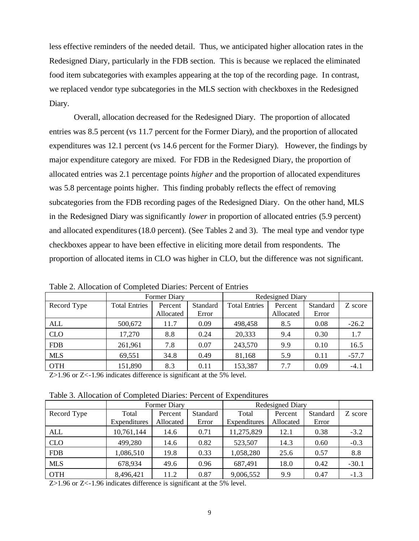less effective reminders of the needed detail. Thus, we anticipated higher allocation rates in the Redesigned Diary, particularly in the FDB section. This is because we replaced the eliminated food item subcategories with examples appearing at the top of the recording page. In contrast, we replaced vendor type subcategories in the MLS section with checkboxes in the Redesigned Diary.

Overall, allocation decreased for the Redesigned Diary. The proportion of allocated entries was 8.5 percent (vs 11.7 percent for the Former Diary), and the proportion of allocated expenditures was 12.1 percent (vs 14.6 percent for the Former Diary). However, the findings by major expenditure category are mixed. For FDB in the Redesigned Diary, the proportion of allocated entries was 2.1 percentage points *higher* and the proportion of allocated expenditures was 5.8 percentage points higher. This finding probably reflects the effect of removing subcategories from the FDB recording pages of the Redesigned Diary. On the other hand, MLS in the Redesigned Diary was significantly *lower* in proportion of allocated entries (5.9 percent) and allocated expenditures (18.0 percent). (See Tables 2 and 3). The meal type and vendor type checkboxes appear to have been effective in eliciting more detail from respondents. The proportion of allocated items in CLO was higher in CLO, but the difference was not significant.

|             |                      | Former Diary |          |                      | Redesigned Diary |          |         |
|-------------|----------------------|--------------|----------|----------------------|------------------|----------|---------|
| Record Type | <b>Total Entries</b> | Percent      | Standard | <b>Total Entries</b> | Percent          | Standard | Z score |
|             |                      | Allocated    | Error    |                      | Allocated        | Error    |         |
| <b>ALL</b>  | 500,672              | 11.7         | 0.09     | 498,458              | 8.5              | 0.08     | $-26.2$ |
| <b>CLO</b>  | 17,270               | 8.8          | 0.24     | 20,333               | 9.4              | 0.30     | 1.7     |
| <b>FDB</b>  | 261,961              | 7.8          | 0.07     | 243,570              | 9.9              | 0.10     | 16.5    |
| <b>MLS</b>  | 69,551               | 34.8         | 0.49     | 81,168               | 5.9              | 0.11     | $-57.7$ |
| <b>OTH</b>  | 151,890              | 8.3          | 0.11     | 153,387              | 7.7              | 0.09     | $-4.1$  |

Table 2. Allocation of Completed Diaries: Percent of Entries

Z>1.96 or Z<-1.96 indicates difference is significant at the 5% level.

Table 3. Allocation of Completed Diaries: Percent of Expenditures

|             |              | Former Diary |          |              | Redesigned Diary |          |         |
|-------------|--------------|--------------|----------|--------------|------------------|----------|---------|
| Record Type | Total        | Percent      | Standard | Total        | Percent          | Standard | Z score |
|             | Expenditures | Allocated    | Error    | Expenditures | Allocated        | Error    |         |
| ALL         | 10,761,144   | 14.6         | 0.71     | 11,275,829   | 12.1             | 0.38     | $-3.2$  |
| <b>CLO</b>  | 499,280      | 14.6         | 0.82     | 523,507      | 14.3             | 0.60     | $-0.3$  |
| <b>FDB</b>  | 1,086,510    | 19.8         | 0.33     | 1,058,280    | 25.6             | 0.57     | 8.8     |
| <b>MLS</b>  | 678,934      | 49.6         | 0.96     | 687,491      | 18.0             | 0.42     | $-30.1$ |
| <b>OTH</b>  | 8,496,421    | 11.2         | 0.87     | 9,006,552    | 9.9              | 0.47     | $-1.3$  |

Z>1.96 or Z<-1.96 indicates difference is significant at the 5% level.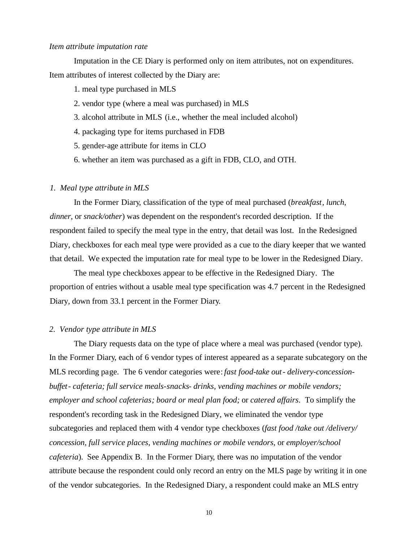### *Item attribute imputation rate*

Imputation in the CE Diary is performed only on item attributes, not on expenditures. Item attributes of interest collected by the Diary are:

- 1. meal type purchased in MLS
- 2. vendor type (where a meal was purchased) in MLS
- 3. alcohol attribute in MLS (i.e., whether the meal included alcohol)
- 4. packaging type for items purchased in FDB
- 5. gender-age attribute for items in CLO
- 6. whether an item was purchased as a gift in FDB, CLO, and OTH.

### *1. Meal type attribute in MLS*

In the Former Diary, classification of the type of meal purchased (*breakfast*, *lunch*, *dinner*, or *snack/other*) was dependent on the respondent's recorded description. If the respondent failed to specify the meal type in the entry, that detail was lost. In the Redesigned Diary, checkboxes for each meal type were provided as a cue to the diary keeper that we wanted that detail. We expected the imputation rate for meal type to be lower in the Redesigned Diary.

The meal type checkboxes appear to be effective in the Redesigned Diary. The proportion of entries without a usable meal type specification was 4.7 percent in the Redesigned Diary, down from 33.1 percent in the Former Diary.

#### *2. Vendor type attribute in MLS*

The Diary requests data on the type of place where a meal was purchased (vendor type). In the Former Diary, each of 6 vendor types of interest appeared as a separate subcategory on the MLS recording page. The 6 vendor categories were: *fast food-take out- delivery-concessionbuffet- cafeteria; full service meals-snacks- drinks, vending machines or mobile vendors; employer and school cafeterias; board or meal plan food;* or *catered affairs*. To simplify the respondent's recording task in the Redesigned Diary, we eliminated the vendor type subcategories and replaced them with 4 vendor type checkboxes (*fast food /take out /delivery/ concession*, *full service places*, *vending machines or mobile vendors*, or *employer/school cafeteria*). See Appendix B. In the Former Diary, there was no imputation of the vendor attribute because the respondent could only record an entry on the MLS page by writing it in one of the vendor subcategories. In the Redesigned Diary, a respondent could make an MLS entry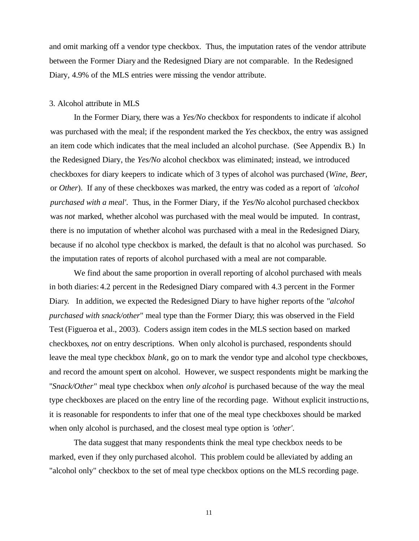and omit marking off a vendor type checkbox. Thus, the imputation rates of the vendor attribute between the Former Diary and the Redesigned Diary are not comparable. In the Redesigned Diary, 4.9% of the MLS entries were missing the vendor attribute.

### 3. Alcohol attribute in MLS

In the Former Diary, there was a *Yes/No* checkbox for respondents to indicate if alcohol was purchased with the meal; if the respondent marked the *Yes* checkbox, the entry was assigned an item code which indicates that the meal included an alcohol purchase. (See Appendix B.) In the Redesigned Diary, the *Yes/No* alcohol checkbox was eliminated; instead, we introduced checkboxes for diary keepers to indicate which of 3 types of alcohol was purchased (*Wine*, *Beer*, or *Other*). If any of these checkboxes was marked, the entry was coded as a report of *'alcohol purchased with a meal'*. Thus, in the Former Diary, if the *Yes/No* alcohol purchased checkbox was *not* marked, whether alcohol was purchased with the meal would be imputed. In contrast, there is no imputation of whether alcohol was purchased with a meal in the Redesigned Diary, because if no alcohol type checkbox is marked, the default is that no alcohol was purchased. So the imputation rates of reports of alcohol purchased with a meal are not comparable*.* 

We find about the same proportion in overall reporting of alcohol purchased with meals in both diaries: 4.2 percent in the Redesigned Diary compared with 4.3 percent in the Former Diary. In addition, we expected the Redesigned Diary to have higher reports of the "*alcohol purchased with snack/other*" meal type than the Former Diary; this was observed in the Field Test (Figueroa et al., 2003). Coders assign item codes in the MLS section based on marked checkboxes, *not* on entry descriptions. When only alcohol is purchased, respondents should leave the meal type checkbox *blank*, go on to mark the vendor type and alcohol type checkboxes, and record the amount spent on alcohol. However, we suspect respondents might be marking the "*Snack/Other*" meal type checkbox when *only alcohol* is purchased because of the way the meal type checkboxes are placed on the entry line of the recording page. Without explicit instructions, it is reasonable for respondents to infer that one of the meal type checkboxes should be marked when only alcohol is purchased, and the closest meal type option is *'other'*.

The data suggest that many respondents think the meal type checkbox needs to be marked, even if they only purchased alcohol. This problem could be alleviated by adding an "alcohol only" checkbox to the set of meal type checkbox options on the MLS recording page.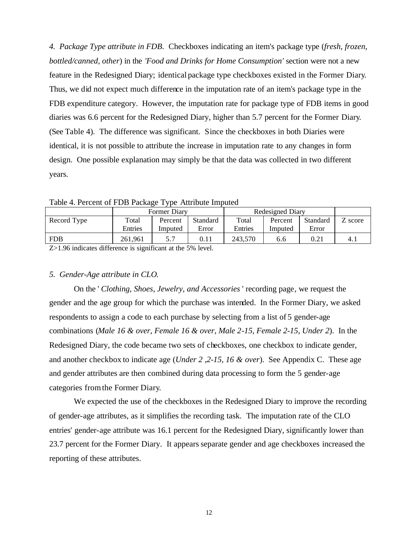*4. Package Type attribute in FDB*. Checkboxes indicating an item's package type (*fresh*, *frozen*, *bottled/canned*, *other*) in the *'Food and Drinks for Home Consumption'* section were not a new feature in the Redesigned Diary; identical package type checkboxes existed in the Former Diary. Thus, we did not expect much difference in the imputation rate of an item's package type in the FDB expenditure category. However, the imputation rate for package type of FDB items in good diaries was 6.6 percent for the Redesigned Diary, higher than 5.7 percent for the Former Diary. (See Table 4). The difference was significant. Since the checkboxes in both Diaries were identical, it is not possible to attribute the increase in imputation rate to any changes in form design. One possible explanation may simply be that the data was collected in two different years.

Former Diary Redesigned Diary Record Type Total Entries Percent Imputed Standard Error Total Entries Percent Imputed Standard Error Z score FDB 261,961 5.7 0.11 243,570 6.6 0.21 4.1

Table 4. Percent of FDB Package Type Attribute Imputed

Z>1.96 indicates difference is significant at the 5% level.

## *5. Gender-Age attribute in CLO*.

On the ' *Clothing, Shoes, Jewelry, and Accessories* ' recording page, we request the gender and the age group for which the purchase was intended. In the Former Diary, we asked respondents to assign a code to each purchase by selecting from a list of 5 gender-age combinations (*Male 16 & over*, *Female 16 & over*, *Male 2-15, Female 2-15, Under 2*). In the Redesigned Diary, the code became two sets of checkboxes, one checkbox to indicate gender, and another checkbox to indicate age (*Under 2 ,2-15, 16 & over*). See Appendix C. These age and gender attributes are then combined during data processing to form the 5 gender-age categories from the Former Diary.

We expected the use of the checkboxes in the Redesigned Diary to improve the recording of gender-age attributes, as it simplifies the recording task. The imputation rate of the CLO entries' gender-age attribute was 16.1 percent for the Redesigned Diary, significantly lower than 23.7 percent for the Former Diary. It appears separate gender and age checkboxes increased the reporting of these attributes.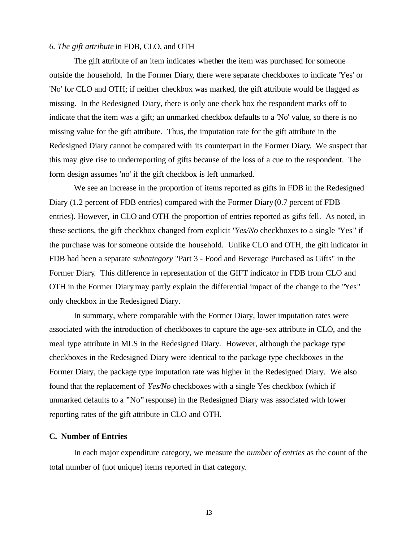## *6. The gift attribute* in FDB, CLO, and OTH

The gift attribute of an item indicates whether the item was purchased for someone outside the household. In the Former Diary, there were separate checkboxes to indicate 'Yes' or 'No' for CLO and OTH; if neither checkbox was marked, the gift attribute would be flagged as missing. In the Redesigned Diary, there is only one check box the respondent marks off to indicate that the item was a gift; an unmarked checkbox defaults to a 'No' value, so there is no missing value for the gift attribute. Thus, the imputation rate for the gift attribute in the Redesigned Diary cannot be compared with its counterpart in the Former Diary. We suspect that this may give rise to underreporting of gifts because of the loss of a cue to the respondent. The form design assumes 'no' if the gift checkbox is left unmarked.

We see an increase in the proportion of items reported as gifts in FDB in the Redesigned Diary (1.2 percent of FDB entries) compared with the Former Diary (0.7 percent of FDB entries). However, in CLO and OTH the proportion of entries reported as gifts fell. As noted, in these sections, the gift checkbox changed from explicit "*Yes/No* checkboxes to a single "Yes" if the purchase was for someone outside the household. Unlike CLO and OTH, the gift indicator in FDB had been a separate *subcategory* "Part 3 - Food and Beverage Purchased as Gifts" in the Former Diary. This difference in representation of the GIFT indicator in FDB from CLO and OTH in the Former Diary may partly explain the differential impact of the change to the "Yes" only checkbox in the Redesigned Diary.

In summary, where comparable with the Former Diary, lower imputation rates were associated with the introduction of checkboxes to capture the age-sex attribute in CLO, and the meal type attribute in MLS in the Redesigned Diary. However, although the package type checkboxes in the Redesigned Diary were identical to the package type checkboxes in the Former Diary, the package type imputation rate was higher in the Redesigned Diary. We also found that the replacement of *Yes/No* checkboxes with a single Yes checkbox (which if unmarked defaults to a "No" response) in the Redesigned Diary was associated with lower reporting rates of the gift attribute in CLO and OTH.

## **C. Number of Entries**

In each major expenditure category, we measure the *number of entries* as the count of the total number of (not unique) items reported in that category.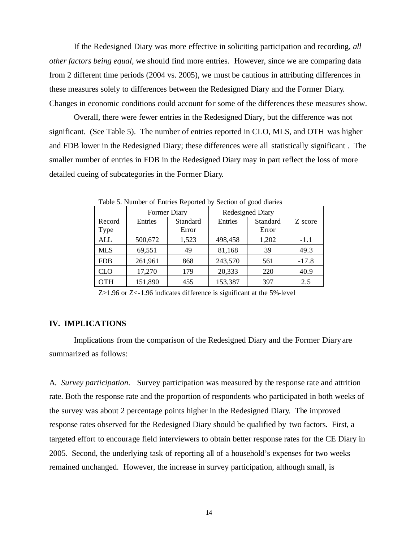If the Redesigned Diary was more effective in soliciting participation and recording, *all other factors being equal*, we should find more entries. However, since we are comparing data from 2 different time periods (2004 vs. 2005), we must be cautious in attributing differences in these measures solely to differences between the Redesigned Diary and the Former Diary. Changes in economic conditions could account for some of the differences these measures show.

Overall, there were fewer entries in the Redesigned Diary, but the difference was not significant. (See Table 5). The number of entries reported in CLO, MLS, and OTH was higher and FDB lower in the Redesigned Diary; these differences were all statistically significant . The smaller number of entries in FDB in the Redesigned Diary may in part reflect the loss of more detailed cueing of subcategories in the Former Diary.

|                |         | <b>Former Diary</b> |         | Redesigned Diary  |         |
|----------------|---------|---------------------|---------|-------------------|---------|
| Record<br>Type | Entries | Standard<br>Error   | Entries | Standard<br>Error | Z score |
| ALL            | 500,672 | 1,523               | 498,458 | 1,202             | $-1.1$  |
| <b>MLS</b>     | 69,551  | 49                  | 81,168  | 39                | 49.3    |
| <b>FDB</b>     | 261,961 | 868                 | 243,570 | 561               | $-17.8$ |
| CLO            | 17,270  | 179                 | 20,333  | 220               | 40.9    |
| OTH            | 151,890 | 455                 | 153,387 | 397               | 2.5     |

Table 5. Number of Entries Reported by Section of good diaries

Z>1.96 or Z<-1.96 indicates difference is significant at the 5%-level

## **IV. IMPLICATIONS**

Implications from the comparison of the Redesigned Diary and the Former Diary are summarized as follows:

A*. Survey participation*. Survey participation was measured by the response rate and attrition rate. Both the response rate and the proportion of respondents who participated in both weeks of the survey was about 2 percentage points higher in the Redesigned Diary. The improved response rates observed for the Redesigned Diary should be qualified by two factors. First, a targeted effort to encourage field interviewers to obtain better response rates for the CE Diary in 2005. Second, the underlying task of reporting all of a household's expenses for two weeks remained unchanged. However, the increase in survey participation, although small, is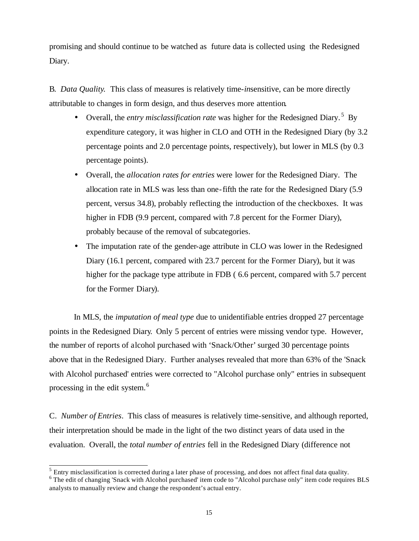promising and should continue to be watched as future data is collected using the Redesigned Diary.

B*. Data Quality.* This class of measures is relatively time-*in*sensitive, can be more directly attributable to changes in form design, and thus deserves more attention.

- Overall, the *entry misclassification rate* was higher for the Redesigned Diary.<sup>5</sup> By expenditure category, it was higher in CLO and OTH in the Redesigned Diary (by 3.2 percentage points and 2.0 percentage points, respectively), but lower in MLS (by 0.3 percentage points).
- Overall, the *allocation rates for entries* were lower for the Redesigned Diary. The allocation rate in MLS was less than one-fifth the rate for the Redesigned Diary (5.9 percent, versus 34.8), probably reflecting the introduction of the checkboxes. It was higher in FDB (9.9 percent, compared with 7.8 percent for the Former Diary), probably because of the removal of subcategories.
- The imputation rate of the gender-age attribute in CLO was lower in the Redesigned Diary (16.1 percent, compared with 23.7 percent for the Former Diary), but it was higher for the package type attribute in FDB (6.6 percent, compared with 5.7 percent for the Former Diary).

In MLS, the *imputation of meal type* due to unidentifiable entries dropped 27 percentage points in the Redesigned Diary. Only 5 percent of entries were missing vendor type. However, the number of reports of alcohol purchased with 'Snack/Other' surged 30 percentage points above that in the Redesigned Diary. Further analyses revealed that more than 63% of the 'Snack with Alcohol purchased' entries were corrected to "Alcohol purchase only" entries in subsequent processing in the edit system.<sup>6</sup>

C. *Number of Entries*. This class of measures is relatively time-sensitive, and although reported, their interpretation should be made in the light of the two distinct years of data used in the evaluation. Overall, the *total number of entries* fell in the Redesigned Diary (difference not

l

 $<sup>5</sup>$  Entry misclassification is corrected during a later phase of processing, and does not affect final data quality.</sup> <sup>6</sup> The edit of changing 'Snack with Alcohol purchased' item code to "Alcohol purchase only" item code requires BLS

analysts to manually review and change the respondent's actual entry.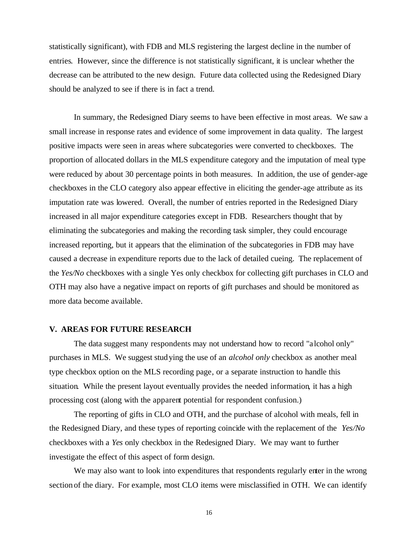statistically significant), with FDB and MLS registering the largest decline in the number of entries. However, since the difference is not statistically significant, it is unclear whether the decrease can be attributed to the new design. Future data collected using the Redesigned Diary should be analyzed to see if there is in fact a trend.

In summary, the Redesigned Diary seems to have been effective in most areas. We saw a small increase in response rates and evidence of some improvement in data quality. The largest positive impacts were seen in areas where subcategories were converted to checkboxes. The proportion of allocated dollars in the MLS expenditure category and the imputation of meal type were reduced by about 30 percentage points in both measures. In addition, the use of gender-age checkboxes in the CLO category also appear effective in eliciting the gender-age attribute as its imputation rate was lowered. Overall, the number of entries reported in the Redesigned Diary increased in all major expenditure categories except in FDB. Researchers thought that by eliminating the subcategories and making the recording task simpler, they could encourage increased reporting, but it appears that the elimination of the subcategories in FDB may have caused a decrease in expenditure reports due to the lack of detailed cueing. The replacement of the *Yes/No* checkboxes with a single Yes only checkbox for collecting gift purchases in CLO and OTH may also have a negative impact on reports of gift purchases and should be monitored as more data become available.

#### **V. AREAS FOR FUTURE RESEARCH**

The data suggest many respondents may not understand how to record "alcohol only" purchases in MLS. We suggest studying the use of an *alcohol only* checkbox as another meal type checkbox option on the MLS recording page, or a separate instruction to handle this situation. While the present layout eventually provides the needed information, it has a high processing cost (along with the apparent potential for respondent confusion.)

The reporting of gifts in CLO and OTH, and the purchase of alcohol with meals, fell in the Redesigned Diary, and these types of reporting coincide with the replacement of the *Yes/No* checkboxes with a *Yes* only checkbox in the Redesigned Diary. We may want to further investigate the effect of this aspect of form design.

We may also want to look into expenditures that respondents regularly enter in the wrong section of the diary. For example, most CLO items were misclassified in OTH. We can identify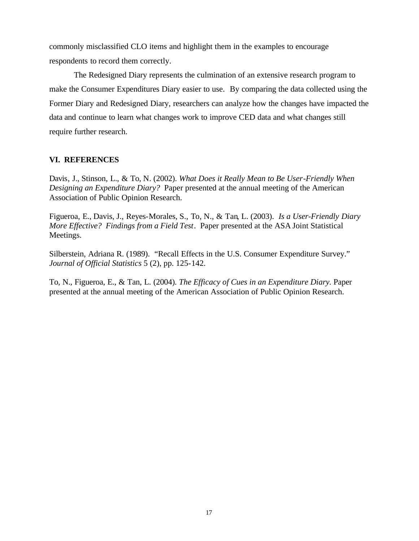commonly misclassified CLO items and highlight them in the examples to encourage respondents to record them correctly.

The Redesigned Diary represents the culmination of an extensive research program to make the Consumer Expenditures Diary easier to use. By comparing the data collected using the Former Diary and Redesigned Diary, researchers can analyze how the changes have impacted the data and continue to learn what changes work to improve CED data and what changes still require further research.

## **VI. REFERENCES**

Davis, J., Stinson, L., & To, N. (2002). *What Does it Really Mean to Be User-Friendly When Designing an Expenditure Diary?* Paper presented at the annual meeting of the American Association of Public Opinion Research.

Figueroa, E., Davis, J., Reyes-Morales, S., To, N., & Tan, L. (2003). *Is a User-Friendly Diary More Effective? Findings from a Field Test*. Paper presented at the ASA Joint Statistical Meetings.

Silberstein, Adriana R. (1989). "Recall Effects in the U.S. Consumer Expenditure Survey." *Journal of Official Statistics* 5 (2), pp. 125-142.

To, N., Figueroa, E., & Tan, L. (2004). *The Efficacy of Cues in an Expenditure Diary.* Paper presented at the annual meeting of the American Association of Public Opinion Research.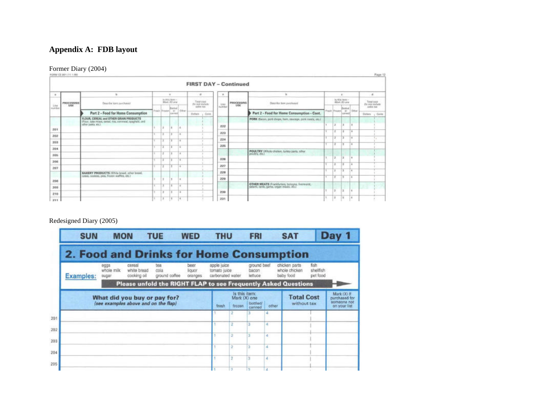# **Appendix A: FDB layout**

## Former Diary (2004)

|                | FORM CE-861 (11.1.99)      |                                                                                                                               |        |                 |                                  |           |                             |                 |                              |                                                           |   |   |                                |                        | Page 12                         |
|----------------|----------------------------|-------------------------------------------------------------------------------------------------------------------------------|--------|-----------------|----------------------------------|-----------|-----------------------------|-----------------|------------------------------|-----------------------------------------------------------|---|---|--------------------------------|------------------------|---------------------------------|
|                |                            |                                                                                                                               |        |                 |                                  |           |                             |                 | <b>FIRST DAY - Continued</b> |                                                           |   |   |                                |                        |                                 |
| $\overline{a}$ |                            |                                                                                                                               |        |                 | ٠                                |           | $\dot{v}$                   | ×               |                              |                                                           |   |   |                                |                        | $\mathbf{d}$                    |
| Like           | PROCESSING<br><b>LUSSE</b> | Dearlie ken pachess!                                                                                                          |        |                 | $11104767871 -$<br>Mork /83 cera |           | Testinat<br>Dis pot snobole | Links           | PROCESSING                   | Describe New pacchased                                    |   |   | luthic hour-<br>Albek (A) case |                        | Tirtut cost<br>Do por intolaste |
| tixit Emi      |                            |                                                                                                                               |        | Frask Frozen or | Battel                           | $10$ fur- | anies Me-                   | <b>hart bet</b> |                              |                                                           |   |   | Dottied                        | Fresh Proper or Dilham | aislan Neir                     |
|                |                            | Part 2 - Food for Home Consumption                                                                                            |        |                 | can med.                         |           | Defen ; Crea                |                 |                              | Part 2 - Food for Home Consumption - Coot.                |   |   | second                         |                        | Outland<br>$-$ Cents            |
|                |                            | FLOUR, CEREAL and OTHER GRAIN PRODUCTS<br>(Flour, cobe recent, cereal, risk, convence), spaghatti, and<br>other paints, etc.) |        |                 |                                  |           |                             |                 |                              | PORK (Bacon, pork drugs, hart, saurage, pork masts, etc.) |   |   |                                |                        |                                 |
| 201            |                            |                                                                                                                               |        |                 |                                  | Lit       |                             | 222             |                              |                                                           |   |   |                                |                        |                                 |
|                |                            |                                                                                                                               | ×      |                 |                                  | $\sim$    |                             | 223             |                              |                                                           |   |   |                                | ī ā                    |                                 |
| 202            |                            |                                                                                                                               |        |                 | ٠                                | 16        |                             | 224             |                              |                                                           |   |   |                                |                        |                                 |
| 203            |                            |                                                                                                                               |        |                 |                                  |           |                             | 225             |                              |                                                           |   |   |                                | u                      |                                 |
| 204            |                            |                                                                                                                               |        |                 |                                  | $\sim$    |                             |                 |                              | POULTRY (Whole chicken, turkey parts, other               |   |   |                                |                        |                                 |
| 205            |                            |                                                                                                                               | v      |                 | n                                | <b>B</b>  |                             |                 |                              | poultry, etc.)                                            |   |   |                                |                        |                                 |
| 205            |                            |                                                                                                                               |        |                 |                                  | $\sim$    |                             | 226             |                              |                                                           |   |   |                                | ٠                      |                                 |
| 207            |                            |                                                                                                                               | Ŧ      |                 | ٠                                | i ili.    |                             | 227             |                              |                                                           |   |   | œ                              | 18                     |                                 |
|                |                            | BAKERY PRODUCTS (White firest, other breat).                                                                                  |        |                 |                                  |           |                             | 228             |                              |                                                           |   |   |                                |                        |                                 |
|                |                            | cakes, cookies, pies, frozen walfles, etc.)                                                                                   |        |                 |                                  | ٠         |                             | 229             |                              |                                                           |   | ٠ | 19                             | ×                      |                                 |
| 208            |                            |                                                                                                                               |        |                 |                                  |           |                             |                 |                              | OTHER MEATS (Frankfurters, bologna, liverworst,           |   |   |                                |                        |                                 |
| 209            |                            |                                                                                                                               | $\sim$ |                 |                                  | 14        |                             |                 |                              | solars, lamb, savio, organ meats, inc.)                   |   |   |                                |                        |                                 |
| 210            |                            |                                                                                                                               |        |                 |                                  | ×         |                             | 230             |                              |                                                           |   |   |                                | ٠                      |                                 |
| 211            |                            |                                                                                                                               | ×      |                 |                                  | ×         |                             | 231             |                              |                                                           | ٠ | ä | lπ                             | i a                    |                                 |

## Redesigned Diary (2005)

| <b>SUN</b>                                     | <b>MON</b>                  |                                      | <b>TUE</b>                                                     | <b>WED</b>                | <b>THU</b>                                      |                                         | <b>FRI</b>                      |       | <b>SAT</b>                                  |                               | Day 1                                                       |
|------------------------------------------------|-----------------------------|--------------------------------------|----------------------------------------------------------------|---------------------------|-------------------------------------------------|-----------------------------------------|---------------------------------|-------|---------------------------------------------|-------------------------------|-------------------------------------------------------------|
| <b>2. Food and Drinks for Home Consumption</b> |                             |                                      |                                                                |                           |                                                 |                                         |                                 |       |                                             |                               |                                                             |
| <b>Examples:</b>                               | eggs<br>whole milk<br>sugar | cereal<br>white bread<br>cooking oil | tea<br>cola<br>ground coffee                                   | beer<br>liouor<br>oranges | apple juice<br>tomato juice<br>carbonated water |                                         | ground beef<br>bacon<br>lettuce |       | chicken parts<br>whole chicken<br>baby food | fish<br>shellfish<br>pet food |                                                             |
|                                                |                             |                                      | Please unfold the RIGHT FLAP to see Frequently Asked Questions |                           |                                                 |                                         |                                 |       |                                             |                               |                                                             |
|                                                |                             | (see examples above and on the flap) | What did you buy or pay for?                                   |                           | fresh                                           | Is this item:<br>Mark (X) one<br>frozen | bottled/<br>canned              | other | <b>Total Cost</b><br>without tax            |                               | Mark (Xi If<br>purchased for<br>someone not<br>on your list |
|                                                |                             |                                      |                                                                |                           |                                                 |                                         |                                 |       |                                             |                               |                                                             |
|                                                |                             |                                      |                                                                |                           |                                                 |                                         |                                 | и     |                                             |                               |                                                             |
|                                                |                             |                                      |                                                                |                           |                                                 | ż                                       |                                 | 4     |                                             |                               |                                                             |
|                                                |                             |                                      |                                                                |                           |                                                 |                                         |                                 | ×     |                                             |                               |                                                             |
|                                                |                             |                                      |                                                                |                           |                                                 |                                         |                                 | ă     |                                             |                               |                                                             |
|                                                |                             |                                      |                                                                |                           |                                                 | $\mathcal{D}$                           | 13                              |       |                                             |                               |                                                             |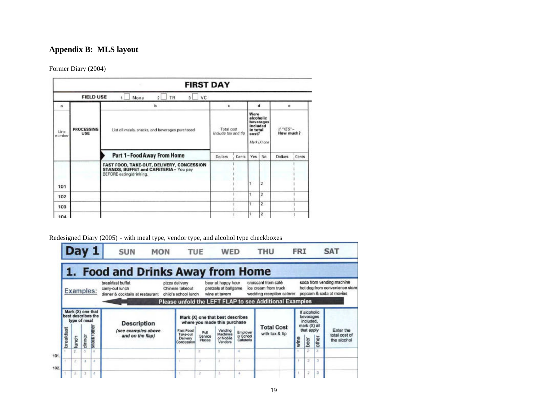## **Appendix B: MLS layout**

Former Diary (2004)

|                                 | VC.<br><b>TR</b><br>None<br>2 <sub>1</sub><br>3                                                                |                  |                  |                                                                                 |                         |                |                           |
|---------------------------------|----------------------------------------------------------------------------------------------------------------|------------------|------------------|---------------------------------------------------------------------------------|-------------------------|----------------|---------------------------|
|                                 | b                                                                                                              | c                |                  |                                                                                 |                         | $\bullet$      |                           |
| <b>PROCESSING</b><br><b>USE</b> | List all meals, snacks, and beverages purchased                                                                |                  |                  | Were<br>alcoholic<br>beverages<br>included<br>in total<br>cost?<br>Mark (X) one |                         |                |                           |
|                                 | Part 1-Food Away From Home                                                                                     | <b>Dollars</b>   | Cents            | Yes                                                                             | No.                     | <b>Dollars</b> | Cents                     |
|                                 | FAST FOOD, TAKE-OUT, DELIVERY, CONCESSION<br>STANDS, BUFFET and CAFETERIA - You pay<br>BEFORE eating/drinking. |                  |                  |                                                                                 | $\overline{2}$          |                |                           |
|                                 |                                                                                                                |                  |                  |                                                                                 | 2                       |                |                           |
|                                 |                                                                                                                |                  |                  |                                                                                 | $\overline{2}$          |                |                           |
|                                 |                                                                                                                |                  |                  |                                                                                 | $\overline{\mathbf{z}}$ |                |                           |
|                                 |                                                                                                                | <b>FIELD USE</b> | <b>FIRST DAY</b> | Total cost<br>Include tax and tip                                               |                         | đ              | $If "YES" -$<br>How much? |

## Redesigned Diary (2005) - with meal type, vendor type, and alcohol type checkboxes

|      |           |       |                  | Day 1                                   | <b>SUN</b>                                                              | <b>MON</b> | <b>TUE</b>                                                |                   | <b>WED</b>                                                                  |                                    | THU                                                                                                                                | <b>FRI</b> |                                                                      |           | <b>SAT</b>                                                                             |
|------|-----------|-------|------------------|-----------------------------------------|-------------------------------------------------------------------------|------------|-----------------------------------------------------------|-------------------|-----------------------------------------------------------------------------|------------------------------------|------------------------------------------------------------------------------------------------------------------------------------|------------|----------------------------------------------------------------------|-----------|----------------------------------------------------------------------------------------|
|      |           |       |                  |                                         | <b>Food and Drinks Away from Home</b>                                   |            |                                                           |                   |                                                                             |                                    |                                                                                                                                    |            |                                                                      |           |                                                                                        |
|      |           |       | <b>Examples:</b> |                                         | breakfast buffet<br>canny-out lunch<br>dinner & cocktails at restaurant |            | pizza delivery<br>Chinese takeout<br>child's school lunch |                   | beer at happy hour<br>pretzels at ballgame<br>wine at tavem                 |                                    | croissant from café<br>ice cream from truck<br>wedding reception caterer<br>Please unfold the LEFT FLAP to see Additional Examples |            |                                                                      |           | soda from vending machine<br>hot dog from convenience store<br>popcom & soda at movies |
|      |           |       | type of meal     | Mark (X) one that<br>best describes the | <b>Description</b><br>(see examples above                               |            | <b>Fast Food</b>                                          | Full              | Mark (X) one that best describes<br>where you made this purchase<br>Vending |                                    | <b>Total Cost</b>                                                                                                                  |            | If alcoholic<br>beverages<br>included,<br>mark (X) all<br>that apply |           | Enter the                                                                              |
|      | breakfast | lunch | dinner           | snack/other                             | and on the flap)                                                        |            | Take-out<br>Delivery<br>Concession                        | Service<br>Places | Machines<br>or Mobile<br>Vendors                                            | Employer<br>or School<br>Cafeteria | with tax & tip                                                                                                                     | wine       | beer                                                                 | other     | total cost of<br>the alcohol                                                           |
| 101  |           |       |                  | $\lambda$                               |                                                                         |            |                                                           | ä                 | ٠                                                                           | $\frac{1}{2}$                      |                                                                                                                                    |            | ž                                                                    |           |                                                                                        |
|      |           |       |                  | ×                                       |                                                                         |            |                                                           | э                 | ٠                                                                           | ×                                  |                                                                                                                                    |            | $\overline{2}$                                                       | $\exists$ |                                                                                        |
| 102. |           |       |                  | x                                       |                                                                         |            |                                                           |                   | з                                                                           |                                    |                                                                                                                                    |            | $\mathcal{I}$                                                        | э         |                                                                                        |